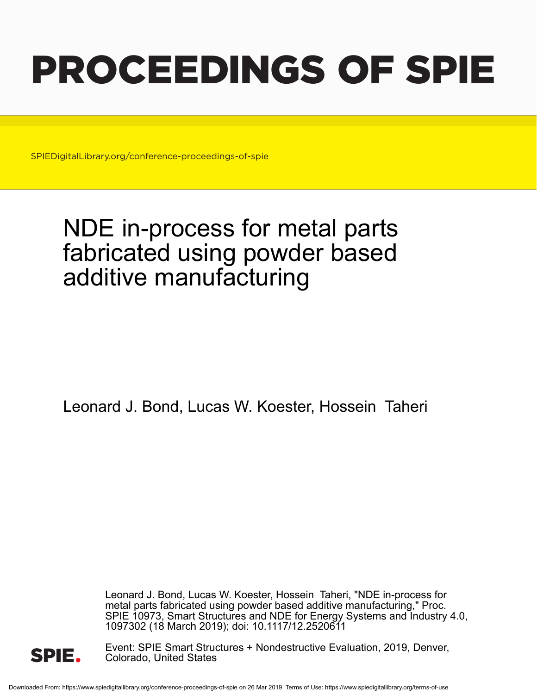# PROCEEDINGS OF SPIE

SPIEDigitalLibrary.org/conference-proceedings-of-spie

## NDE in-process for metal parts fabricated using powder based additive manufacturing

Leonard J. Bond, Lucas W. Koester, Hossein Taheri

Leonard J. Bond, Lucas W. Koester, Hossein Taheri, "NDE in-process for metal parts fabricated using powder based additive manufacturing," Proc. SPIE 10973, Smart Structures and NDE for Energy Systems and Industry 4.0, 1097302 (18 March 2019); doi: 10.1117/12.2520611



Event: SPIE Smart Structures + Nondestructive Evaluation, 2019, Denver, Colorado, United States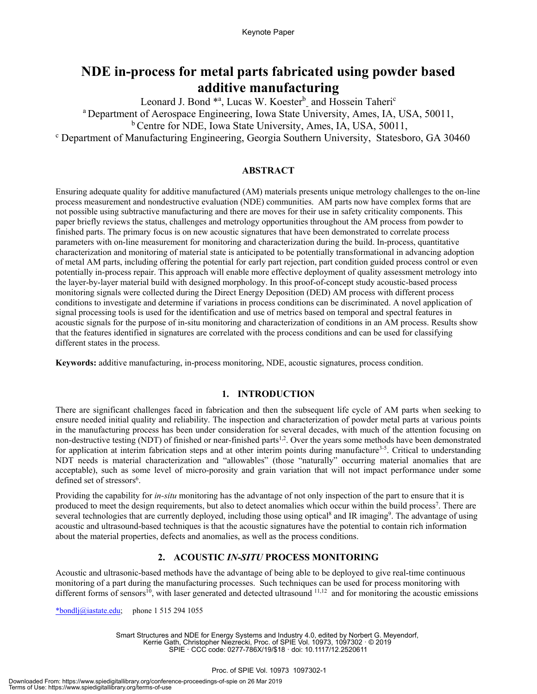### **NDE in-process for metal parts fabricated using powder based additive manufacturing**

Leonard J. Bond \*<sup>a</sup>, Lucas W. Koester<sup>b</sup> and Hossein Taheri<sup>c</sup> a Department of Aerospace Engineering, Iowa State University, Ames, IA, USA, 50011,

<sup>b</sup> Centre for NDE, Iowa State University, Ames, IA, USA, 50011,

Department of Manufacturing Engineering, Georgia Southern University, Statesboro, GA 30460

#### **ABSTRACT**

Ensuring adequate quality for additive manufactured (AM) materials presents unique metrology challenges to the on-line process measurement and nondestructive evaluation (NDE) communities. AM parts now have complex forms that are not possible using subtractive manufacturing and there are moves for their use in safety criticality components. This paper briefly reviews the status, challenges and metrology opportunities throughout the AM process from powder to finished parts. The primary focus is on new acoustic signatures that have been demonstrated to correlate process parameters with on-line measurement for monitoring and characterization during the build. In-process, quantitative characterization and monitoring of material state is anticipated to be potentially transformational in advancing adoption of metal AM parts, including offering the potential for early part rejection, part condition guided process control or even potentially in-process repair. This approach will enable more effective deployment of quality assessment metrology into the layer-by-layer material build with designed morphology. In this proof-of-concept study acoustic-based process monitoring signals were collected during the Direct Energy Deposition (DED) AM process with different process conditions to investigate and determine if variations in process conditions can be discriminated. A novel application of signal processing tools is used for the identification and use of metrics based on temporal and spectral features in acoustic signals for the purpose of in-situ monitoring and characterization of conditions in an AM process. Results show that the features identified in signatures are correlated with the process conditions and can be used for classifying different states in the process.

**Keywords:** additive manufacturing, in-process monitoring, NDE, acoustic signatures, process condition.

#### **1. INTRODUCTION**

There are significant challenges faced in fabrication and then the subsequent life cycle of AM parts when seeking to ensure needed initial quality and reliability. The inspection and characterization of powder metal parts at various points in the manufacturing process has been under consideration for several decades, with much of the attention focusing on non-destructive testing (NDT) of finished or near-finished parts<sup>1,2</sup>. Over the years some methods have been demonstrated for application at interim fabrication steps and at other interim points during manufacture<sup>3-5</sup>. Critical to understanding NDT needs is material characterization and "allowables" (those "naturally" occurring material anomalies that are acceptable), such as some level of micro-porosity and grain variation that will not impact performance under some defined set of stressors<sup>6</sup>.

Providing the capability for *in-situ* monitoring has the advantage of not only inspection of the part to ensure that it is produced to meet the design requirements, but also to detect anomalies which occur within the build process<sup>7</sup>. There are several technologies that are currently deployed, including those using optical<sup>8</sup> and IR imaging<sup>9</sup>. The advantage of using acoustic and ultrasound-based techniques is that the acoustic signatures have the potential to contain rich information about the material properties, defects and anomalies, as well as the process conditions.

#### **2. ACOUSTIC** *IN-SITU* **PROCESS MONITORING**

Acoustic and ultrasonic-based methods have the advantage of being able to be deployed to give real-time continuous monitoring of a part during the manufacturing processes. Such techniques can be used for process monitoring with different forms of sensors<sup>10</sup>, with laser generated and detected ultrasound  $11,12$  and for monitoring the acoustic emissions

\*bondlj@iastate.edu; phone 1 515 294 1055

Smart Structures and NDE for Energy Systems and Industry 4.0, edited by Norbert G. Meyendorf, Kerrie Gath, Christopher Niezrecki, Proc. of SPIE Vol. 10973, 1097302 · © 2019 SPIE · CCC code: 0277-786X/19/\$18 · doi: 10.1117/12.2520611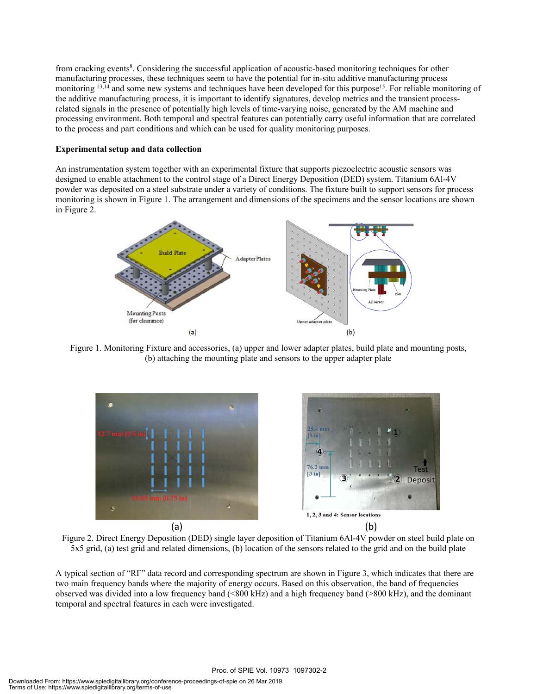from cracking events<sup>8</sup>. Considering the successful application of acoustic-based monitoring techniques for other manufacturing processes, these techniques seem to have the potential for in-situ additive manufacturing process monitoring <sup>13,14</sup> and some new systems and techniques have been developed for this purpose<sup>15</sup>. For reliable monitoring of the additive manufacturing process, it is important to identify signatures, develop metrics and the transient processrelated signals in the presence of potentially high levels of time-varying noise, generated by the AM machine and processing environment. Both temporal and spectral features can potentially carry useful information that are correlated to the process and part conditions and which can be used for quality monitoring purposes.

#### **Experimental setup and data collection**

An instrumentation system together with an experimental fixture that supports piezoelectric acoustic sensors was designed to enable attachment to the control stage of a Direct Energy Deposition (DED) system. Titanium 6Al-4V powder was deposited on a steel substrate under a variety of conditions. The fixture built to support sensors for process monitoring is shown in Figure 1. The arrangement and dimensions of the specimens and the sensor locations are shown in Figure 2.



Figure 1. Monitoring Fixture and accessories, (a) upper and lower adapter plates, build plate and mounting posts, (b) attaching the mounting plate and sensors to the upper adapter plate



Figure 2. Direct Energy Deposition (DED) single layer deposition of Titanium 6Al-4V powder on steel build plate on 5x5 grid, (a) test grid and related dimensions, (b) location of the sensors related to the grid and on the build plate

A typical section of "RF" data record and corresponding spectrum are shown in Figure 3, which indicates that there are two main frequency bands where the majority of energy occurs. Based on this observation, the band of frequencies observed was divided into a low frequency band (<800 kHz) and a high frequency band (>800 kHz), and the dominant temporal and spectral features in each were investigated.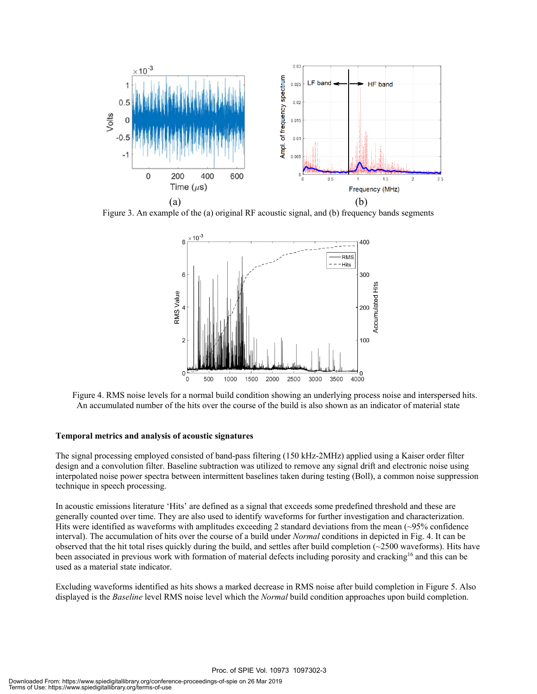

Figure 3. An example of the (a) original RF acoustic signal, and (b) frequency bands segments



 Figure 4. RMS noise levels for a normal build condition showing an underlying process noise and interspersed hits. An accumulated number of the hits over the course of the build is also shown as an indicator of material state

#### **Temporal metrics and analysis of acoustic signatures**

The signal processing employed consisted of band-pass filtering (150 kHz-2MHz) applied using a Kaiser order filter design and a convolution filter. Baseline subtraction was utilized to remove any signal drift and electronic noise using interpolated noise power spectra between intermittent baselines taken during testing (Boll), a common noise suppression technique in speech processing.

In acoustic emissions literature 'Hits' are defined as a signal that exceeds some predefined threshold and these are generally counted over time. They are also used to identify waveforms for further investigation and characterization. Hits were identified as waveforms with amplitudes exceeding 2 standard deviations from the mean (~95% confidence interval). The accumulation of hits over the course of a build under *Normal* conditions in depicted in Fig. 4. It can be observed that the hit total rises quickly during the build, and settles after build completion (~2500 waveforms). Hits have been associated in previous work with formation of material defects including porosity and cracking<sup>16</sup> and this can be used as a material state indicator.

Excluding waveforms identified as hits shows a marked decrease in RMS noise after build completion in Figure 5. Also displayed is the *Baseline* level RMS noise level which the *Normal* build condition approaches upon build completion.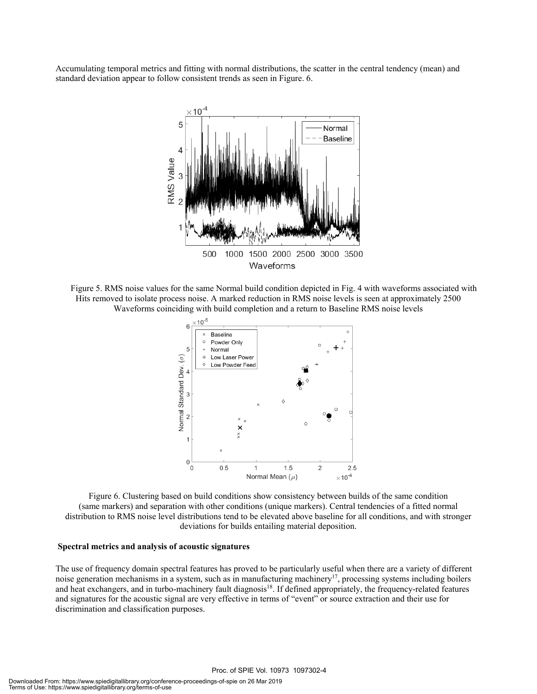Accumulating temporal metrics and fitting with normal distributions, the scatter in the central tendency (mean) and standard deviation appear to follow consistent trends as seen in Figure. 6.



 Figure 5. RMS noise values for the same Normal build condition depicted in Fig. 4 with waveforms associated with Hits removed to isolate process noise. A marked reduction in RMS noise levels is seen at approximately 2500 Waveforms coinciding with build completion and a return to Baseline RMS noise levels



Figure 6. Clustering based on build conditions show consistency between builds of the same condition (same markers) and separation with other conditions (unique markers). Central tendencies of a fitted normal distribution to RMS noise level distributions tend to be elevated above baseline for all conditions, and with stronger deviations for builds entailing material deposition.

#### **Spectral metrics and analysis of acoustic signatures**

The use of frequency domain spectral features has proved to be particularly useful when there are a variety of different noise generation mechanisms in a system, such as in manufacturing machinery<sup>17</sup>, processing systems including boilers and heat exchangers, and in turbo-machinery fault diagnosis<sup>18</sup>. If defined appropriately, the frequency-related features and signatures for the acoustic signal are very effective in terms of "event" or source extraction and their use for discrimination and classification purposes.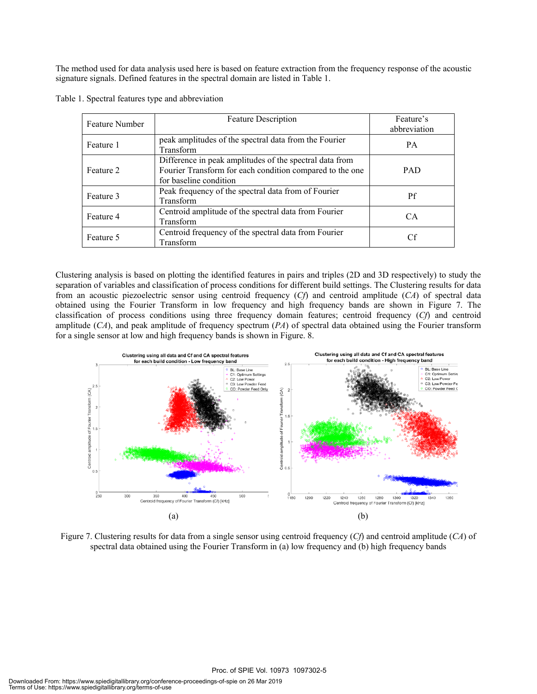The method used for data analysis used here is based on feature extraction from the frequency response of the acoustic signature signals. Defined features in the spectral domain are listed in Table 1.

| <b>Feature Number</b> | <b>Feature Description</b>                                                                                                                    | Feature's<br>abbreviation |
|-----------------------|-----------------------------------------------------------------------------------------------------------------------------------------------|---------------------------|
| Feature 1             | peak amplitudes of the spectral data from the Fourier<br>Transform                                                                            | <b>PA</b>                 |
| Feature 2             | Difference in peak amplitudes of the spectral data from<br>Fourier Transform for each condition compared to the one<br>for baseline condition | <b>PAD</b>                |
| Feature 3             | Peak frequency of the spectral data from of Fourier<br>Transform                                                                              | Pf                        |
| Feature 4             | Centroid amplitude of the spectral data from Fourier<br>Transform                                                                             | CA.                       |
| Feature 5             | Centroid frequency of the spectral data from Fourier<br>Transform                                                                             | Сf                        |

Table 1. Spectral features type and abbreviation

Clustering analysis is based on plotting the identified features in pairs and triples (2D and 3D respectively) to study the separation of variables and classification of process conditions for different build settings. The Clustering results for data from an acoustic piezoelectric sensor using centroid frequency (*Cf*) and centroid amplitude (*CA*) of spectral data obtained using the Fourier Transform in low frequency and high frequency bands are shown in Figure 7. The classification of process conditions using three frequency domain features; centroid frequency (*Cf*) and centroid amplitude (*CA*), and peak amplitude of frequency spectrum (*PA*) of spectral data obtained using the Fourier transform for a single sensor at low and high frequency bands is shown in Figure. 8.



Figure 7. Clustering results for data from a single sensor using centroid frequency (*Cf*) and centroid amplitude (*CA*) of spectral data obtained using the Fourier Transform in (a) low frequency and (b) high frequency bands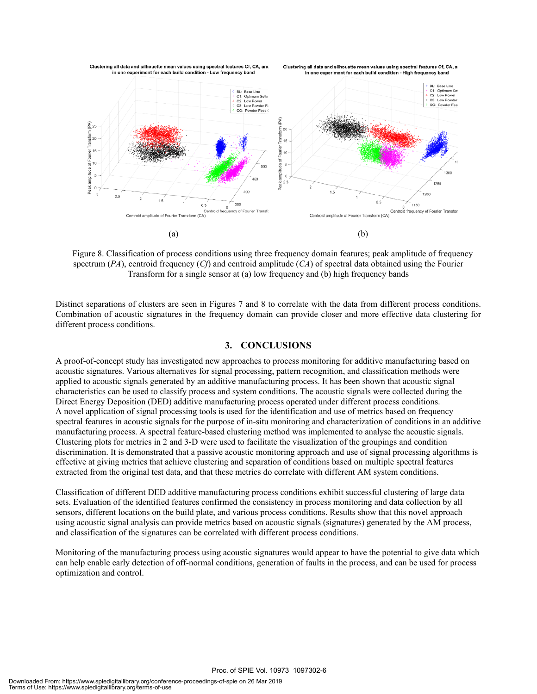

 Figure 8. Classification of process conditions using three frequency domain features; peak amplitude of frequency spectrum (*PA*), centroid frequency (*Cf*) and centroid amplitude (*CA*) of spectral data obtained using the Fourier Transform for a single sensor at (a) low frequency and (b) high frequency bands

Distinct separations of clusters are seen in Figures 7 and 8 to correlate with the data from different process conditions. Combination of acoustic signatures in the frequency domain can provide closer and more effective data clustering for different process conditions.

#### **3. CONCLUSIONS**

A proof-of-concept study has investigated new approaches to process monitoring for additive manufacturing based on acoustic signatures. Various alternatives for signal processing, pattern recognition, and classification methods were applied to acoustic signals generated by an additive manufacturing process. It has been shown that acoustic signal characteristics can be used to classify process and system conditions. The acoustic signals were collected during the Direct Energy Deposition (DED) additive manufacturing process operated under different process conditions. A novel application of signal processing tools is used for the identification and use of metrics based on frequency spectral features in acoustic signals for the purpose of in-situ monitoring and characterization of conditions in an additive manufacturing process. A spectral feature-based clustering method was implemented to analyse the acoustic signals. Clustering plots for metrics in 2 and 3-D were used to facilitate the visualization of the groupings and condition discrimination. It is demonstrated that a passive acoustic monitoring approach and use of signal processing algorithms is effective at giving metrics that achieve clustering and separation of conditions based on multiple spectral features extracted from the original test data, and that these metrics do correlate with different AM system conditions.

Classification of different DED additive manufacturing process conditions exhibit successful clustering of large data sets. Evaluation of the identified features confirmed the consistency in process monitoring and data collection by all sensors, different locations on the build plate, and various process conditions. Results show that this novel approach using acoustic signal analysis can provide metrics based on acoustic signals (signatures) generated by the AM process, and classification of the signatures can be correlated with different process conditions.

Monitoring of the manufacturing process using acoustic signatures would appear to have the potential to give data which can help enable early detection of off-normal conditions, generation of faults in the process, and can be used for process optimization and control.